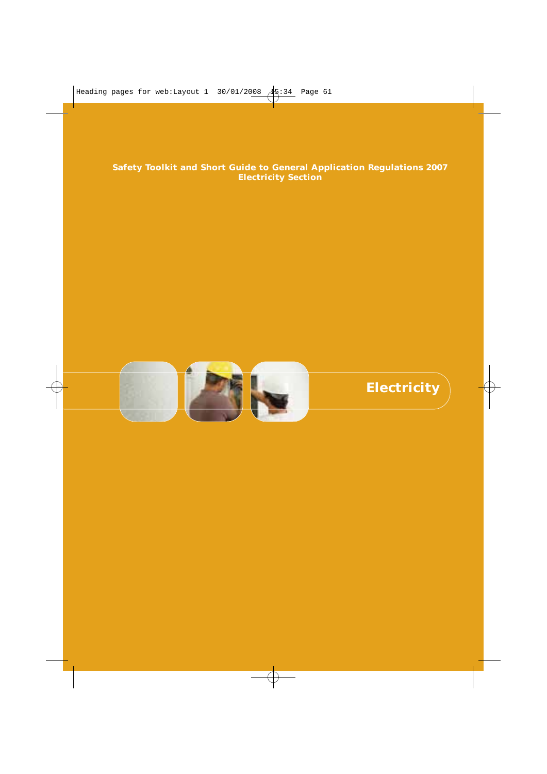#### **Safety Toolkit and Short Guide to General Application Regulations 2007 Electricity Section**



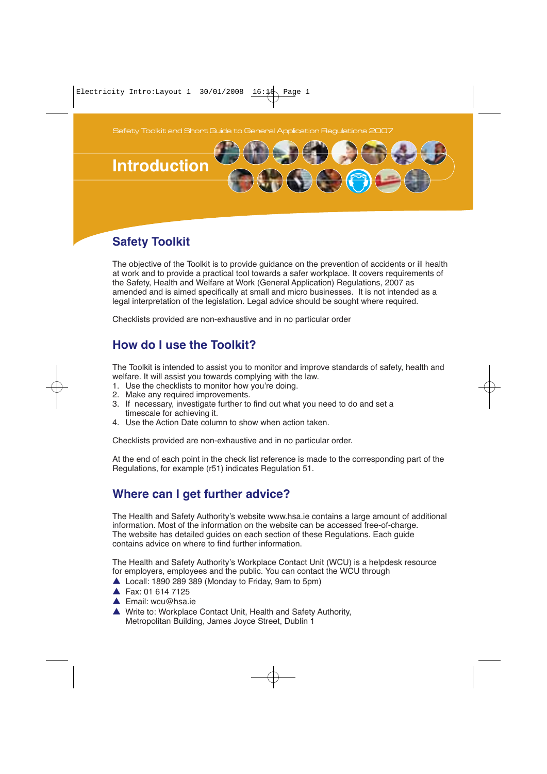Safety Toolkit and Short Guide to General Application Regulations 2007



### **Safety Toolkit**

The objective of the Toolkit is to provide guidance on the prevention of accidents or ill health at work and to provide a practical tool towards a safer workplace. It covers requirements of the Safety, Health and Welfare at Work (General Application) Regulations, 2007 as amended and is aimed specifically at small and micro businesses. It is not intended as a legal interpretation of the legislation. Legal advice should be sought where required.

Checklists provided are non-exhaustive and in no particular order

### **How do I use the Toolkit?**

The Toolkit is intended to assist you to monitor and improve standards of safety, health and welfare. It will assist you towards complying with the law.

- 1. Use the checklists to monitor how you're doing.
- 2. Make any required improvements.
- 3. If necessary, investigate further to find out what you need to do and set a timescale for achieving it.
- 4. Use the Action Date column to show when action taken.

Checklists provided are non-exhaustive and in no particular order.

At the end of each point in the check list reference is made to the corresponding part of the Regulations, for example (r51) indicates Regulation 51.

### **Where can I get further advice?**

The Health and Safety Authority's website www.hsa.ie contains a large amount of additional information. Most of the information on the website can be accessed free-of-charge. The website has detailed guides on each section of these Regulations. Each guide contains advice on where to find further information.

The Health and Safety Authority's Workplace Contact Unit (WCU) is a helpdesk resource for employers, employees and the public. You can contact the WCU through

- $\triangle$  Locall: 1890 289 389 (Monday to Friday, 9am to 5pm)
- ▲ Fax: 01 614 7125
- ▲ Email: wcu@hsa.ie
- ▲ Write to: Workplace Contact Unit, Health and Safety Authority, Metropolitan Building, James Joyce Street, Dublin 1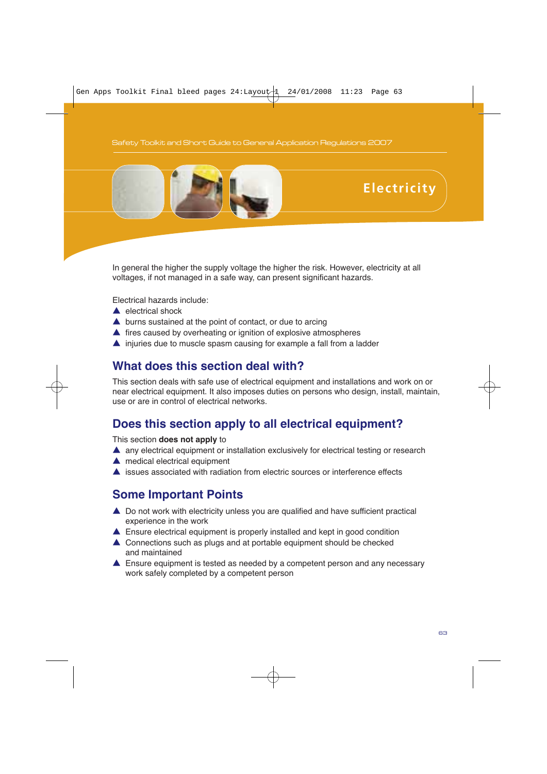

## **Electricity**

In general the higher the supply voltage the higher the risk. However, electricity at all voltages, if not managed in a safe way, can present significant hazards.

Electrical hazards include:

- ▲ electrical shock
- $\triangle$  burns sustained at the point of contact, or due to arcing
- $\blacktriangle$  fires caused by overheating or ignition of explosive atmospheres
- $\triangle$  injuries due to muscle spasm causing for example a fall from a ladder

### **What does this section deal with?**

This section deals with safe use of electrical equipment and installations and work on or near electrical equipment. It also imposes duties on persons who design, install, maintain, use or are in control of electrical networks.

### **Does this section apply to all electrical equipment?**

This section **does not apply** to

- ▲ any electrical equipment or installation exclusively for electrical testing or research
- $\blacktriangle$  medical electrical equipment
- $\blacktriangle$  issues associated with radiation from electric sources or interference effects

### **Some Important Points**

- $\blacktriangle$  Do not work with electricity unless you are qualified and have sufficient practical experience in the work
- ▲ Ensure electrical equipment is properly installed and kept in good condition
- ▲ Connections such as plugs and at portable equipment should be checked and maintained
- ▲ Ensure equipment is tested as needed by a competent person and any necessary work safely completed by a competent person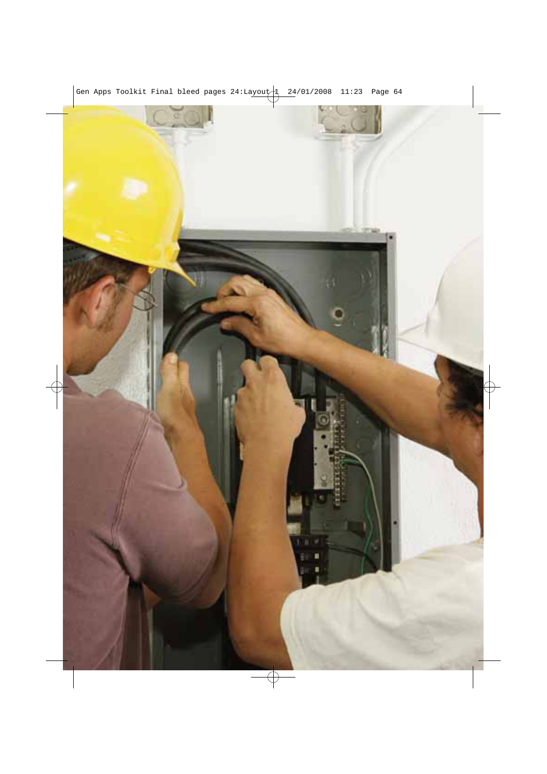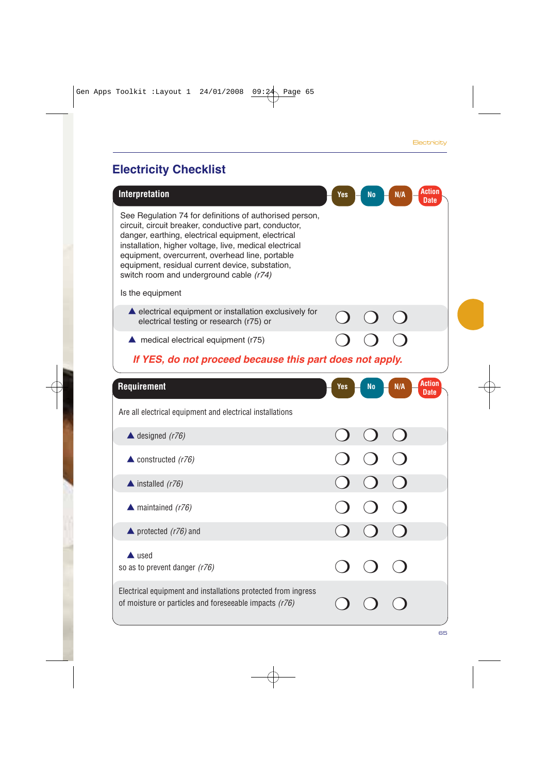# **Electricity Checklist**

| Interpretation                                                                                                                                                                                                                                                                                                                                                                                        | Yes | No | N/A | <b>Action</b><br>Date |
|-------------------------------------------------------------------------------------------------------------------------------------------------------------------------------------------------------------------------------------------------------------------------------------------------------------------------------------------------------------------------------------------------------|-----|----|-----|-----------------------|
| See Regulation 74 for definitions of authorised person,<br>circuit, circuit breaker, conductive part, conductor,<br>danger, earthing, electrical equipment, electrical<br>installation, higher voltage, live, medical electrical<br>equipment, overcurrent, overhead line, portable<br>equipment, residual current device, substation,<br>switch room and underground cable (r74)<br>Is the equipment |     |    |     |                       |
| ▲ electrical equipment or installation exclusively for                                                                                                                                                                                                                                                                                                                                                |     |    |     |                       |
| electrical testing or research (r75) or                                                                                                                                                                                                                                                                                                                                                               |     |    |     |                       |
| medical electrical equipment (r75)                                                                                                                                                                                                                                                                                                                                                                    |     |    |     |                       |
| If YES, do not proceed because this part does not apply.                                                                                                                                                                                                                                                                                                                                              |     |    |     |                       |
| <b>Requirement</b>                                                                                                                                                                                                                                                                                                                                                                                    | Yes | No | N/A | <b>Action</b><br>Date |
|                                                                                                                                                                                                                                                                                                                                                                                                       |     |    |     |                       |
| Are all electrical equipment and electrical installations                                                                                                                                                                                                                                                                                                                                             |     |    |     |                       |
| $\triangle$ designed (r76)                                                                                                                                                                                                                                                                                                                                                                            |     |    |     |                       |
| $\triangle$ constructed (r76)                                                                                                                                                                                                                                                                                                                                                                         |     |    |     |                       |
| $\triangle$ installed (r76)                                                                                                                                                                                                                                                                                                                                                                           |     |    |     |                       |
| $\triangle$ maintained (r76)                                                                                                                                                                                                                                                                                                                                                                          |     |    |     |                       |
| $\triangle$ protected (r76) and                                                                                                                                                                                                                                                                                                                                                                       |     |    |     |                       |
| $\triangle$ used<br>so as to prevent danger (r76)                                                                                                                                                                                                                                                                                                                                                     |     |    |     |                       |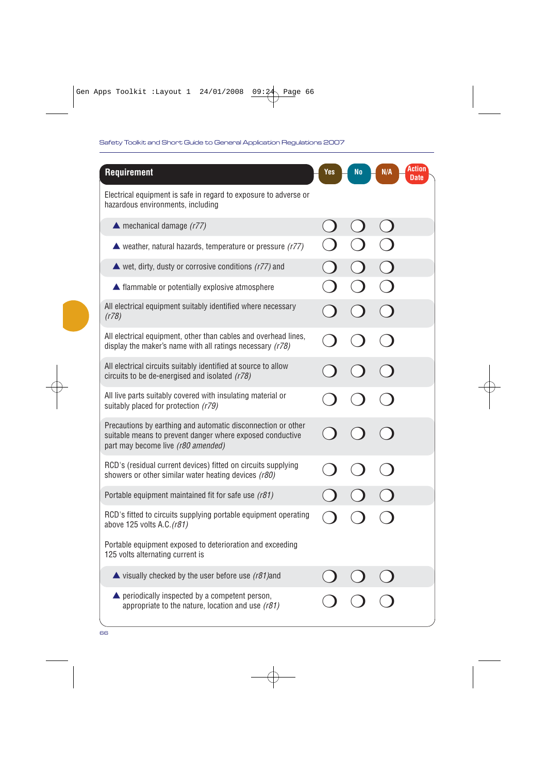| <b>Requirement</b>                                                                                                                                              | Yes | N <sub>0</sub> | N/A | Action<br>Date |
|-----------------------------------------------------------------------------------------------------------------------------------------------------------------|-----|----------------|-----|----------------|
| Electrical equipment is safe in regard to exposure to adverse or<br>hazardous environments, including                                                           |     |                |     |                |
| $\blacktriangle$ mechanical damage (r77)                                                                                                                        |     |                |     |                |
| $\triangle$ weather, natural hazards, temperature or pressure ( $r77$ )                                                                                         |     |                |     |                |
| $\triangle$ wet, dirty, dusty or corrosive conditions (r77) and                                                                                                 |     |                |     |                |
| ▲ flammable or potentially explosive atmosphere                                                                                                                 |     |                |     |                |
| All electrical equipment suitably identified where necessary<br>(r78)                                                                                           |     |                |     |                |
| All electrical equipment, other than cables and overhead lines,<br>display the maker's name with all ratings necessary $(r78)$                                  |     |                |     |                |
| All electrical circuits suitably identified at source to allow<br>circuits to be de-energised and isolated (r78)                                                |     |                |     |                |
| All live parts suitably covered with insulating material or<br>suitably placed for protection (r79)                                                             |     |                |     |                |
| Precautions by earthing and automatic disconnection or other<br>suitable means to prevent danger where exposed conductive<br>part may become live (r80 amended) |     |                |     |                |
| RCD's (residual current devices) fitted on circuits supplying<br>showers or other similar water heating devices (r80)                                           |     |                |     |                |
| Portable equipment maintained fit for safe use (r81)                                                                                                            |     |                |     |                |
| RCD's fitted to circuits supplying portable equipment operating<br>above 125 volts A.C.(r81)                                                                    |     |                |     |                |
| Portable equipment exposed to deterioration and exceeding<br>125 volts alternating current is                                                                   |     |                |     |                |
| $\triangle$ visually checked by the user before use (r81) and                                                                                                   |     |                |     |                |
| ▲ periodically inspected by a competent person,<br>appropriate to the nature, location and use $(r81)$                                                          |     |                |     |                |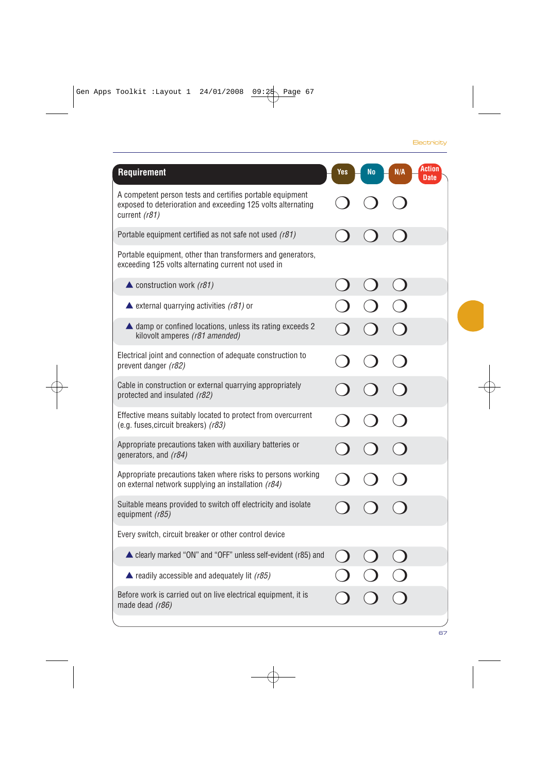| Requirement                                                                                                                                | Yes | No | N/A | <b>Action</b><br>Date |
|--------------------------------------------------------------------------------------------------------------------------------------------|-----|----|-----|-----------------------|
| A competent person tests and certifies portable equipment<br>exposed to deterioration and exceeding 125 volts alternating<br>current (r81) |     |    |     |                       |
| Portable equipment certified as not safe not used (r81)                                                                                    |     |    |     |                       |
| Portable equipment, other than transformers and generators,<br>exceeding 125 volts alternating current not used in                         |     |    |     |                       |
| $\triangle$ construction work (r81)                                                                                                        |     |    |     |                       |
| $\triangle$ external quarrying activities (r81) or                                                                                         |     |    |     |                       |
| ▲ damp or confined locations, unless its rating exceeds 2<br>kilovolt amperes (r81 amended)                                                |     |    |     |                       |
| Electrical joint and connection of adequate construction to<br>prevent danger (r82)                                                        |     |    |     |                       |
| Cable in construction or external quarrying appropriately<br>protected and insulated (r82)                                                 |     |    |     |                       |
| Effective means suitably located to protect from overcurrent<br>(e.g. fuses, circuit breakers) (r83)                                       |     |    |     |                       |
| Appropriate precautions taken with auxiliary batteries or<br>generators, and (r84)                                                         |     |    |     |                       |
| Appropriate precautions taken where risks to persons working<br>on external network supplying an installation (r84)                        |     |    |     |                       |
| Suitable means provided to switch off electricity and isolate<br>equipment (r85)                                                           |     |    |     |                       |
| Every switch, circuit breaker or other control device                                                                                      |     |    |     |                       |
| Let clearly marked "ON" and "OFF" unless self-evident (r85) and                                                                            |     |    |     |                       |
| readily accessible and adequately lit $(185)$                                                                                              |     |    |     |                       |
| Before work is carried out on live electrical equipment, it is<br>made dead (r86)                                                          |     |    |     |                       |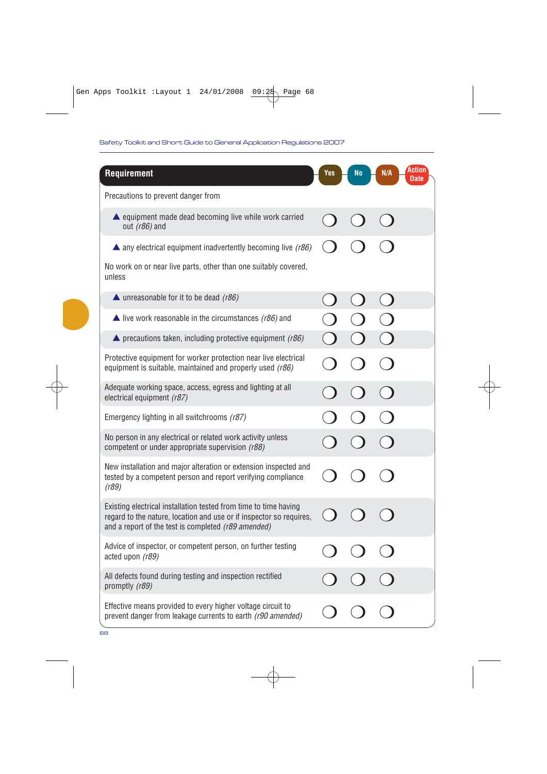| <b>Requirement</b>                                                                                                                                                                             | Yes | <b>No</b> | N/A | <b>Action</b><br>Date |
|------------------------------------------------------------------------------------------------------------------------------------------------------------------------------------------------|-----|-----------|-----|-----------------------|
| Precautions to prevent danger from                                                                                                                                                             |     |           |     |                       |
| ▲ equipment made dead becoming live while work carried<br>out (r86) and                                                                                                                        |     |           |     |                       |
| $\triangle$ any electrical equipment inadvertently becoming live (r86)                                                                                                                         |     |           |     |                       |
| No work on or near live parts, other than one suitably covered,<br>unless                                                                                                                      |     |           |     |                       |
| $\triangle$ unreasonable for it to be dead (r86)                                                                                                                                               |     |           |     |                       |
| live work reasonable in the circumstances $(r86)$ and                                                                                                                                          |     |           |     |                       |
| ▲ precautions taken, including protective equipment (r86)                                                                                                                                      |     |           |     |                       |
| Protective equipment for worker protection near live electrical<br>equipment is suitable, maintained and properly used (r86)                                                                   |     |           |     |                       |
| Adequate working space, access, egress and lighting at all<br>electrical equipment (r87)                                                                                                       |     |           |     |                       |
| Emergency lighting in all switchrooms (r87)                                                                                                                                                    |     |           |     |                       |
| No person in any electrical or related work activity unless<br>competent or under appropriate supervision (r88)                                                                                |     |           |     |                       |
| New installation and major alteration or extension inspected and<br>tested by a competent person and report verifying compliance<br>(r89)                                                      |     |           |     |                       |
| Existing electrical installation tested from time to time having<br>regard to the nature, location and use or if inspector so requires,<br>and a report of the test is completed (r89 amended) |     |           |     |                       |
| Advice of inspector, or competent person, on further testing<br>acted upon (r89)                                                                                                               |     |           |     |                       |
| All defects found during testing and inspection rectified<br>promptly (r89)                                                                                                                    |     |           |     |                       |
| Effective means provided to every higher voltage circuit to<br>prevent danger from leakage currents to earth (r90 amended)                                                                     |     |           |     |                       |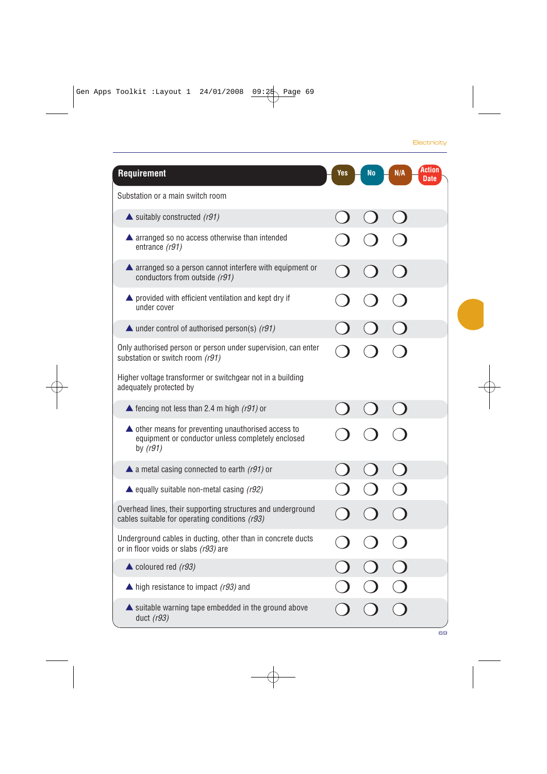| Requirement                                                                                                                      | Yes | No | N/A | Action<br>Date |
|----------------------------------------------------------------------------------------------------------------------------------|-----|----|-----|----------------|
| Substation or a main switch room                                                                                                 |     |    |     |                |
| $\triangle$ suitably constructed (r91)                                                                                           |     |    |     |                |
| $\blacktriangle$ arranged so no access otherwise than intended<br>entrance (r91)                                                 |     |    |     |                |
| ▲ arranged so a person cannot interfere with equipment or<br>conductors from outside (r91)                                       |     |    |     |                |
| ▲ provided with efficient ventilation and kept dry if<br>under cover                                                             |     |    |     |                |
| $\triangle$ under control of authorised person(s) (r91)                                                                          |     |    |     |                |
| Only authorised person or person under supervision, can enter<br>substation or switch room (r91)                                 |     |    |     |                |
| Higher voltage transformer or switchgear not in a building<br>adequately protected by                                            |     |    |     |                |
| $\triangle$ fencing not less than 2.4 m high (r91) or                                                                            |     |    |     |                |
| $\triangle$ other means for preventing unauthorised access to<br>equipment or conductor unless completely enclosed<br>by $(r91)$ |     |    |     |                |
| $\triangle$ a metal casing connected to earth (r91) or                                                                           |     |    |     |                |
| $\triangle$ equally suitable non-metal casing (r92)                                                                              |     |    |     |                |
| Overhead lines, their supporting structures and underground<br>cables suitable for operating conditions (r93)                    |     |    |     |                |
| Underground cables in ducting, other than in concrete ducts<br>or in floor voids or slabs (r93) are                              |     |    |     |                |
| $\triangle$ coloured red (r93)                                                                                                   |     |    |     |                |
| $\triangle$ high resistance to impact (r93) and                                                                                  |     |    |     |                |
| $\triangle$ suitable warning tape embedded in the ground above<br>duct $(193)$                                                   |     |    |     |                |